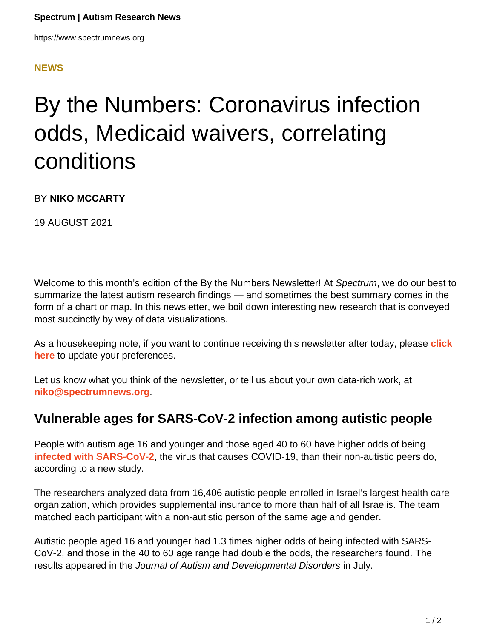## **[NEWS](HTTPS://WWW.SPECTRUMNEWS.ORG/NEWS/)**

## By the Numbers: Coronavirus infection odds, Medicaid waivers, correlating conditions

## BY **NIKO MCCARTY**

19 AUGUST 2021

Welcome to this month's edition of the By the Numbers Newsletter! At Spectrum, we do our best to summarize the latest autism research findings — and sometimes the best summary comes in the form of a chart or map. In this newsletter, we boil down interesting new research that is conveyed most succinctly by way of data visualizations.

As a housekeeping note, if you want to continue receiving this newsletter after today, please **[click](https://www.spectrumnews.org/newsletter/) [here](https://www.spectrumnews.org/newsletter/)** to update your preferences.

Let us know what you think of the newsletter, or tell us about your own data-rich work, at **[niko@spectrumnews.org](mailto:niko@spectrumnews.org)**.

## **Vulnerable ages for SARS-CoV-2 infection among autistic people**

People with autism age 16 and younger and those aged 40 to 60 have higher odds of being **[infected with SARS-CoV-2](https://doi.org/10.1007/s10803-021-05187-2)**, the virus that causes COVID-19, than their non-autistic peers do, according to a new study.

The researchers analyzed data from 16,406 autistic people enrolled in Israel's largest health care organization, which provides supplemental insurance to more than half of all Israelis. The team matched each participant with a non-autistic person of the same age and gender.

Autistic people aged 16 and younger had 1.3 times higher odds of being infected with SARS-CoV-2, and those in the 40 to 60 age range had double the odds, the researchers found. The results appeared in the Journal of Autism and Developmental Disorders in July.